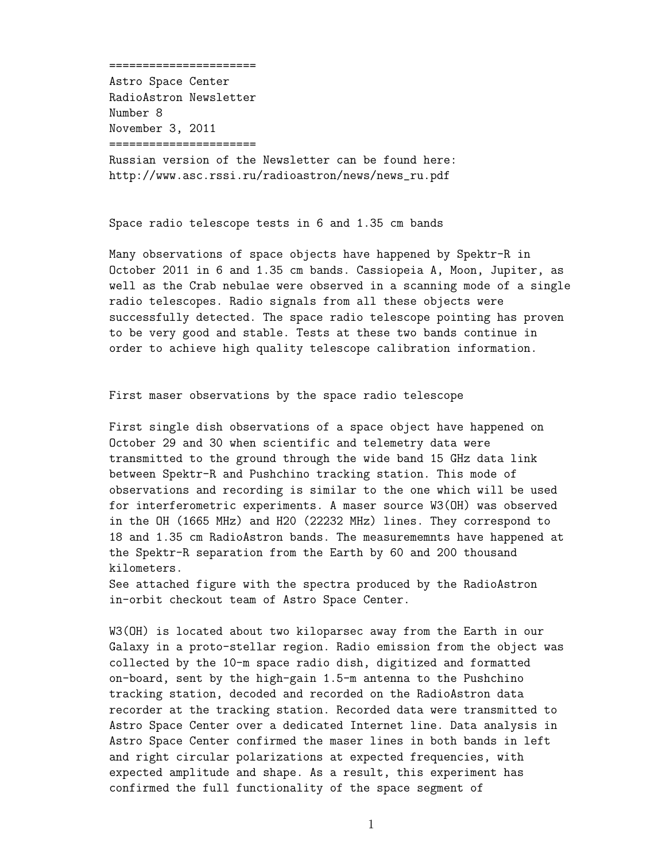======================

Astro Space Center RadioAstron Newsletter Number 8 November 3, 2011 ======================

Russian version of the Newsletter can be found here: http://www.asc.rssi.ru/radioastron/news/news\_ru.pdf

Space radio telescope tests in 6 and 1.35 cm bands

Many observations of space objects have happened by Spektr-R in October 2011 in 6 and 1.35 cm bands. Cassiopeia A, Moon, Jupiter, as well as the Crab nebulae were observed in a scanning mode of a single radio telescopes. Radio signals from all these objects were successfully detected. The space radio telescope pointing has proven to be very good and stable. Tests at these two bands continue in order to achieve high quality telescope calibration information.

First maser observations by the space radio telescope

First single dish observations of a space object have happened on October 29 and 30 when scientific and telemetry data were transmitted to the ground through the wide band 15 GHz data link between Spektr-R and Pushchino tracking station. This mode of observations and recording is similar to the one which will be used for interferometric experiments. A maser source W3(OH) was observed in the OH (1665 MHz) and H20 (22232 MHz) lines. They correspond to 18 and 1.35 cm RadioAstron bands. The measurememnts have happened at the Spektr-R separation from the Earth by 60 and 200 thousand kilometers.

See attached figure with the spectra produced by the RadioAstron in-orbit checkout team of Astro Space Center.

W3(OH) is located about two kiloparsec away from the Earth in our Galaxy in a proto-stellar region. Radio emission from the object was collected by the 10-m space radio dish, digitized and formatted on-board, sent by the high-gain 1.5-m antenna to the Pushchino tracking station, decoded and recorded on the RadioAstron data recorder at the tracking station. Recorded data were transmitted to Astro Space Center over a dedicated Internet line. Data analysis in Astro Space Center confirmed the maser lines in both bands in left and right circular polarizations at expected frequencies, with expected amplitude and shape. As a result, this experiment has confirmed the full functionality of the space segment of

1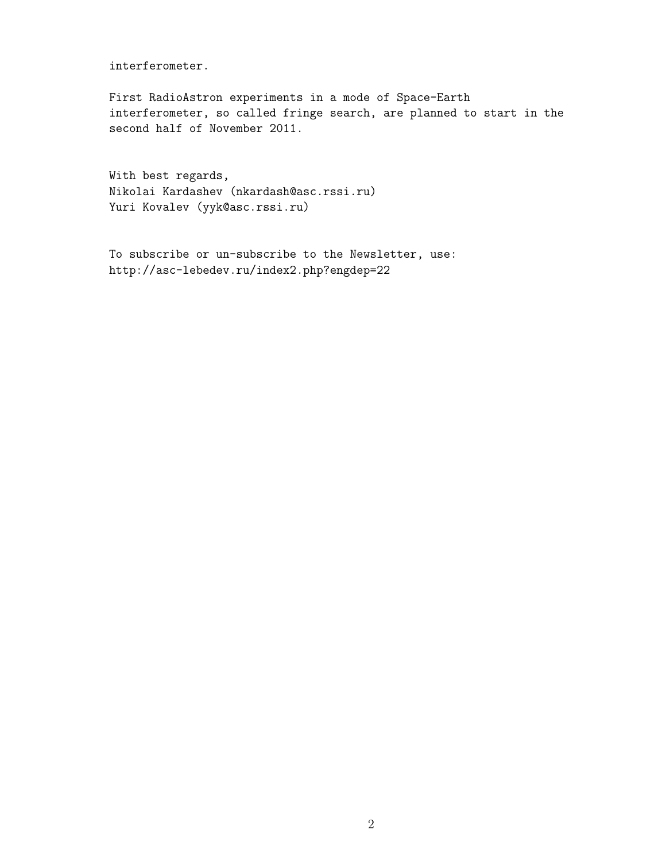interferometer.

First RadioAstron experiments in a mode of Space-Earth interferometer, so called fringe search, are planned to start in the second half of November 2011.

With best regards, Nikolai Kardashev (nkardash@asc.rssi.ru) Yuri Kovalev (yyk@asc.rssi.ru)

To subscribe or un-subscribe to the Newsletter, use: http://asc-lebedev.ru/index2.php?engdep=22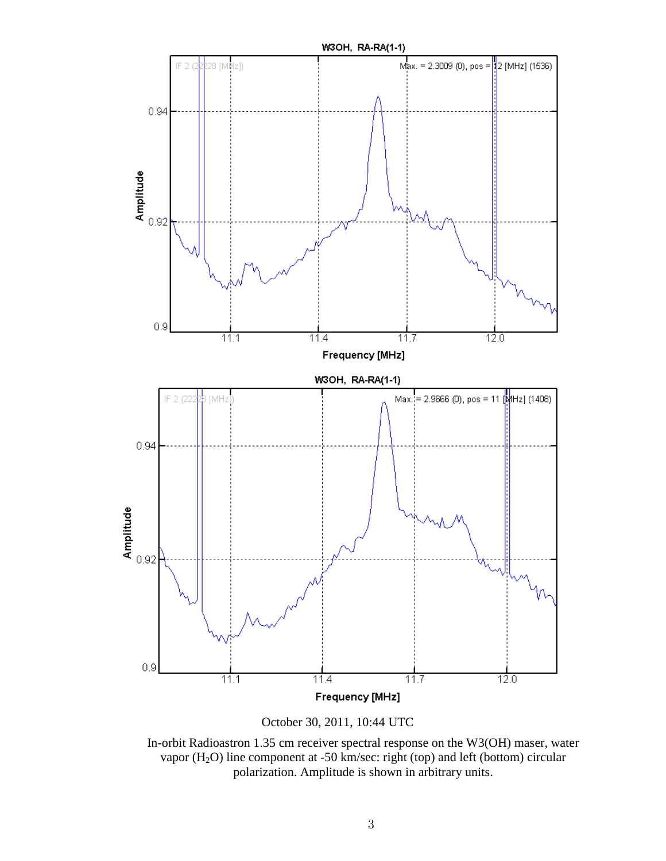

October 30, 2011, 10:44 UTC

In-orbit Radioastron 1.35 cm receiver spectral response on the W3(OH) maser, water vapor (H2O) line component at -50 km/sec: right (top) and left (bottom) circular polarization. Amplitude is shown in arbitrary units.